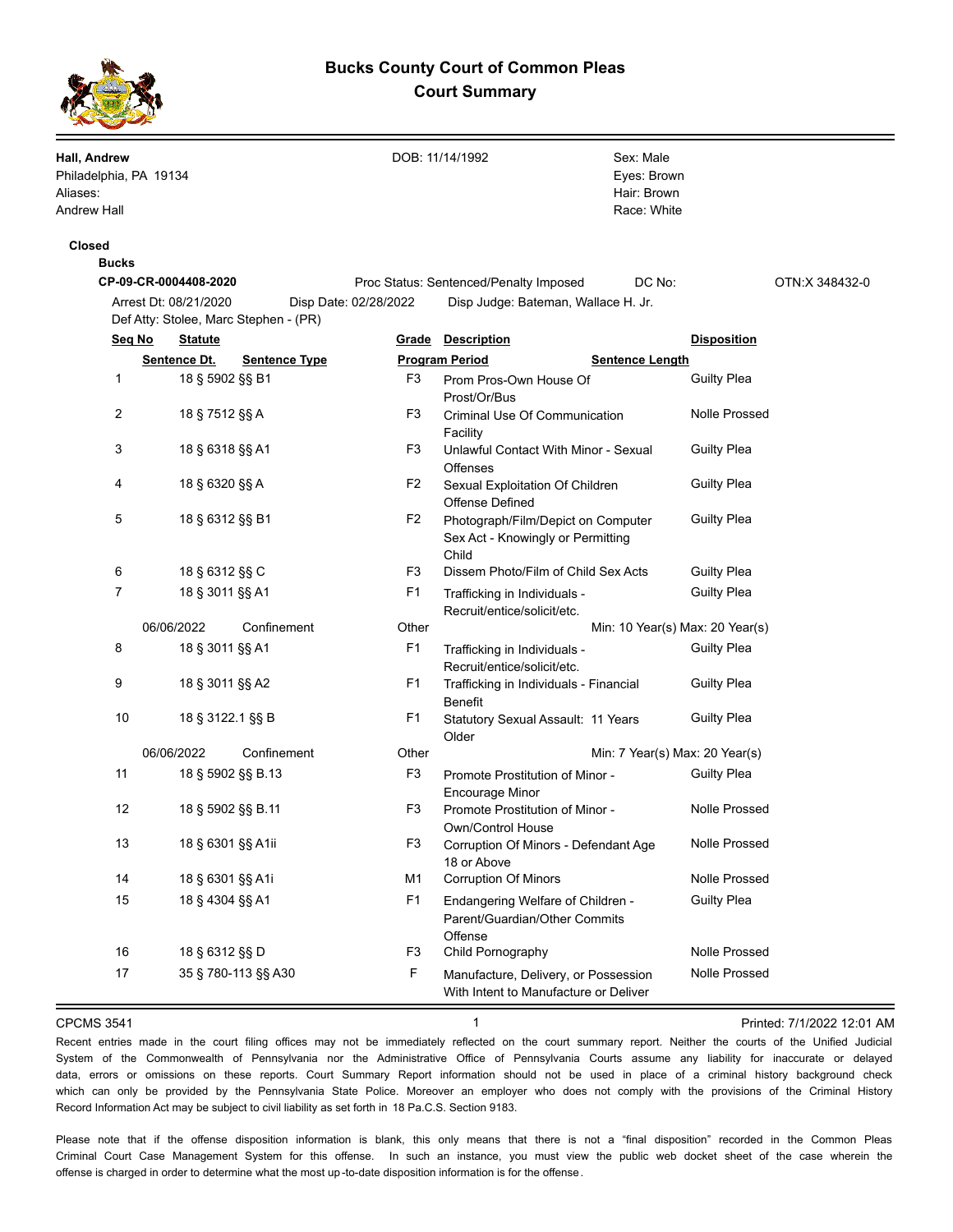# **Bucks County Court of Common Pleas Court Summary**



**Hall, Andrew**  Philadelphia, PA 19134 Aliases: Andrew Hall DOB: 11/14/1992 Race: White Hair: Brown Eyes: Brown Sex: Male **Closed Bucks CP-09-CR-0004408-2020** Proc Status: Sentenced/Penalty Imposed DC No: OTN:X 348432-0 Arrest Dt: 08/21/2020 Disp Date: 02/28/2022 Disp Judge: Bateman, Wallace H. Jr. Def Atty: Stolee, Marc Stephen - (PR) **Seq No Statute Grade Description Disposition Sentence Dt. Sentence Type Program Period Program Sentence Length** 1 18 § 5902 §§ B1 F3 Prom Pros-Own House Of Guilty Plea Prost/Or/Bus 2 18 § 7512 §§ A F3 Criminal Use Of Communication Nolle Prossed Facility 3 18 § 6318 §§ A1 F3 Unlawful Contact With Minor - Sexual Guilty Plea **Offenses** 4 18 § 6320 §§ A F2 Sexual Exploitation Of Children Guilty Plea Offense Defined 5 18 § 6312 §§ B1 F2 Photograph/Film/Depict on Computer Guilty Plea Sex Act - Knowingly or Permitting Child 6 18 § 6312 §§ C F3 Dissem Photo/Film of Child Sex Acts Guilty Plea 7 18 § 3011 §§ A1 F1 Trafficking in Individuals - Guilty Plea Recruit/entice/solicit/etc. 06/06/2022 Confinement Other Min: 10 Year(s) Max: 20 Year(s) 8 18 § 3011 §§ A1 F1 Trafficking in Individuals - Guilty Plea Recruit/entice/solicit/etc. 9 18 § 3011 §§ A2 F1 Trafficking in Individuals - Financial Guilty Plea Benefit 10 18 § 3122.1 §§ B F1 Statutory Sexual Assault: 11 Years Guilty Plea Older 06/06/2022 Confinement Other Chief Min: 7 Year(s) Max: 20 Year(s) 11 18 § 5902 §§ B.13 F3 Promote Prostitution of Minor - Guilty Plea Encourage Minor 12 18 § 5902 §§ B.11 F3 Promote Prostitution of Minor - Nolle Prossed Own/Control House 13 18 § 6301 §§ A1ii F3 Corruption Of Minors - Defendant Age Nolle Prossed 18 or Above 14 18 § 6301 §§ A1i M1 Corruption Of Minors Nolle Prossed 15 18 § 4304 §§ A1 F1 Endangering Welfare of Children - Guilty Plea Parent/Guardian/Other Commits **Offense** 16 18 § 6312 §§ D F3 Child Pornography Nolle Prossed 17 35 § 780-113 §§ A30 F Manufacture, Delivery, or Possession Nolle Prossed With Intent to Manufacture or Deliver CPCMS 3541 **1 1 1 1 1 1 1 1 1 Printed: 7/1/2022 12:01 AM** 

Recent entries made in the court filing offices may not be immediately reflected on the court summary report. Neither the courts of the Unified Judicial System of the Commonwealth of Pennsylvania nor the Administrative Office of Pennsylvania Courts assume any liability for inaccurate or delayed data, errors or omissions on these reports. Court Summary Report information should not be used in place of a criminal history background check which can only be provided by the Pennsylvania State Police. Moreover an employer who does not comply with the provisions of the Criminal History Record Information Act may be subject to civil liability as set forth in 18 Pa.C.S. Section 9183.

Please note that if the offense disposition information is blank, this only means that there is not a "final disposition" recorded in the Common Pleas Criminal Court Case Management System for this offense. In such an instance, you must view the public web docket sheet of the case wherein the offense is charged in order to determine what the most up -to-date disposition information is for the offense.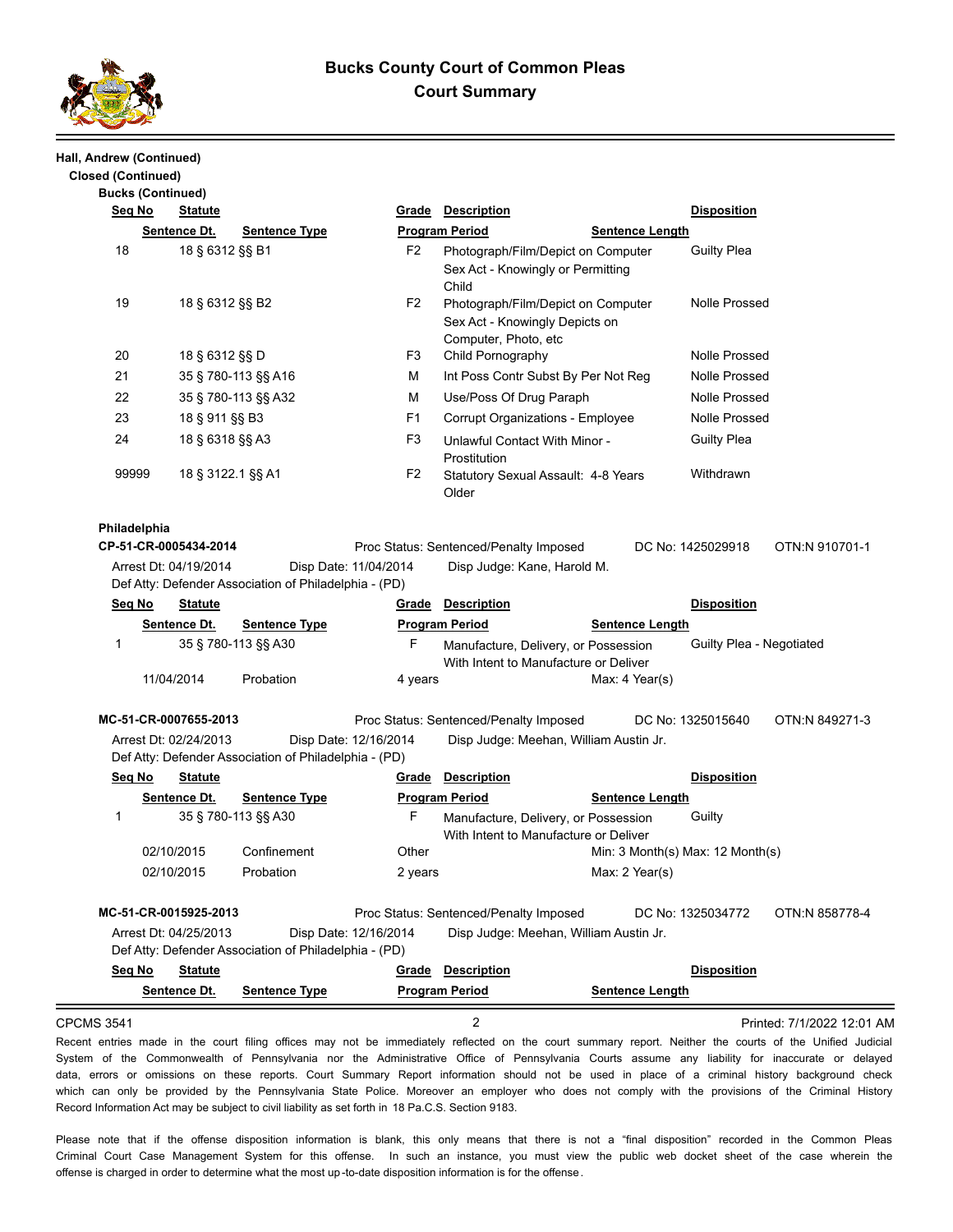

# **Bucks County Court of Common Pleas Court Summary**

### **Hall, Andrew (Continued)**

| <b>Bucks (Continued)</b> |                           |                                                |                                                       |                       |                                                                                              |                        |                                      |                |
|--------------------------|---------------------------|------------------------------------------------|-------------------------------------------------------|-----------------------|----------------------------------------------------------------------------------------------|------------------------|--------------------------------------|----------------|
|                          | <u>Seq No</u>             | <u>Statute</u>                                 |                                                       | Grade                 | <b>Description</b>                                                                           |                        | <b>Disposition</b>                   |                |
|                          |                           | Sentence Dt.                                   | <b>Sentence Type</b>                                  |                       | <b>Program Period</b>                                                                        | <b>Sentence Length</b> |                                      |                |
| 18                       |                           | 18 § 6312 §§ B1                                |                                                       | F2                    | Photograph/Film/Depict on Computer<br>Sex Act - Knowingly or Permitting<br>Child             |                        | <b>Guilty Plea</b>                   |                |
| 19                       |                           | 18 § 6312 §§ B2                                |                                                       | F <sub>2</sub>        | Photograph/Film/Depict on Computer<br>Sex Act - Knowingly Depicts on<br>Computer, Photo, etc |                        | <b>Nolle Prossed</b>                 |                |
| 20                       |                           | 18 § 6312 §§ D                                 |                                                       | F3                    | Child Pornography                                                                            |                        | <b>Nolle Prossed</b>                 |                |
| 21                       |                           |                                                | 35 § 780-113 §§ A16                                   | м                     | Int Poss Contr Subst By Per Not Reg                                                          |                        | <b>Nolle Prossed</b>                 |                |
|                          | 22<br>35 § 780-113 §§ A32 |                                                |                                                       | М                     | Use/Poss Of Drug Paraph                                                                      |                        | <b>Nolle Prossed</b>                 |                |
| 23                       | 18 § 911 §§ B3            |                                                |                                                       | F1                    | Corrupt Organizations - Employee                                                             |                        | <b>Nolle Prossed</b>                 |                |
| 24                       |                           | 18 § 6318 §§ A3                                |                                                       | F <sub>3</sub>        | Unlawful Contact With Minor -<br>Prostitution                                                |                        | <b>Guilty Plea</b>                   |                |
|                          | 99999                     | 18 § 3122.1 §§ A1                              |                                                       | F2                    | Statutory Sexual Assault: 4-8 Years<br>Older                                                 |                        | Withdrawn                            |                |
|                          |                           | Arrest Dt: 04/19/2014                          |                                                       | Disp Date: 11/04/2014 | Proc Status: Sentenced/Penalty Imposed                                                       |                        |                                      |                |
|                          |                           |                                                | Def Atty: Defender Association of Philadelphia - (PD) |                       | Disp Judge: Kane, Harold M.                                                                  |                        |                                      |                |
|                          | Seq No                    | <b>Statute</b>                                 |                                                       | Grade                 | <b>Description</b>                                                                           |                        | <b>Disposition</b>                   |                |
|                          |                           | Sentence Dt.                                   | <b>Sentence Type</b>                                  |                       | <b>Program Period</b>                                                                        | <b>Sentence Length</b> |                                      |                |
| 1                        |                           | 11/04/2014                                     | 35 § 780-113 §§ A30<br>Probation                      | F<br>4 years          | Manufacture, Delivery, or Possession<br>With Intent to Manufacture or Deliver                | Max: 4 Year(s)         | Guilty Plea - Negotiated             |                |
|                          |                           |                                                |                                                       |                       |                                                                                              |                        |                                      |                |
|                          |                           | MC-51-CR-0007655-2013<br>Arrest Dt: 02/24/2013 | Def Atty: Defender Association of Philadelphia - (PD) | Disp Date: 12/16/2014 | Proc Status: Sentenced/Penalty Imposed<br>Disp Judge: Meehan, William Austin Jr.             |                        | DC No: 1325015640                    |                |
|                          | Seq No                    | <b>Statute</b>                                 |                                                       | <u>Grade</u>          | <b>Description</b>                                                                           |                        | <b>Disposition</b>                   | OTN:N 849271-3 |
|                          |                           | Sentence Dt.                                   | <b>Sentence Type</b>                                  |                       | <b>Program Period</b>                                                                        | <b>Sentence Length</b> |                                      |                |
| 1                        |                           |                                                | 35 § 780-113 §§ A30                                   | F                     | Manufacture, Delivery, or Possession<br>With Intent to Manufacture or Deliver                |                        | Guilty                               |                |
|                          |                           | 02/10/2015                                     | Confinement                                           | Other                 |                                                                                              |                        | Min: $3$ Month(s) Max: $12$ Month(s) |                |
|                          |                           | 02/10/2015                                     | Probation                                             | 2 years               |                                                                                              | Max: 2 Year(s)         |                                      |                |
|                          |                           | MC-51-CR-0015925-2013                          |                                                       |                       | Proc Status: Sentenced/Penalty Imposed                                                       |                        | DC No: 1325034772                    |                |
|                          |                           | Arrest Dt: 04/25/2013                          | Def Atty: Defender Association of Philadelphia - (PD) | Disp Date: 12/16/2014 | Disp Judge: Meehan, William Austin Jr.                                                       |                        |                                      |                |
|                          | Seq No                    | <b>Statute</b>                                 |                                                       | <b>Grade</b>          | <b>Description</b>                                                                           |                        | <b>Disposition</b>                   | OTN:N 858778-4 |

CPCMS 3541 2 Printed: 7/1/2022 12:01 AM

Recent entries made in the court filing offices may not be immediately reflected on the court summary report. Neither the courts of the Unified Judicial System of the Commonwealth of Pennsylvania nor the Administrative Office of Pennsylvania Courts assume any liability for inaccurate or delayed data, errors or omissions on these reports. Court Summary Report information should not be used in place of a criminal history background check which can only be provided by the Pennsylvania State Police. Moreover an employer who does not comply with the provisions of the Criminal History Record Information Act may be subject to civil liability as set forth in 18 Pa.C.S. Section 9183.

Please note that if the offense disposition information is blank, this only means that there is not a "final disposition" recorded in the Common Pleas Criminal Court Case Management System for this offense. In such an instance, you must view the public web docket sheet of the case wherein the offense is charged in order to determine what the most up -to-date disposition information is for the offense.